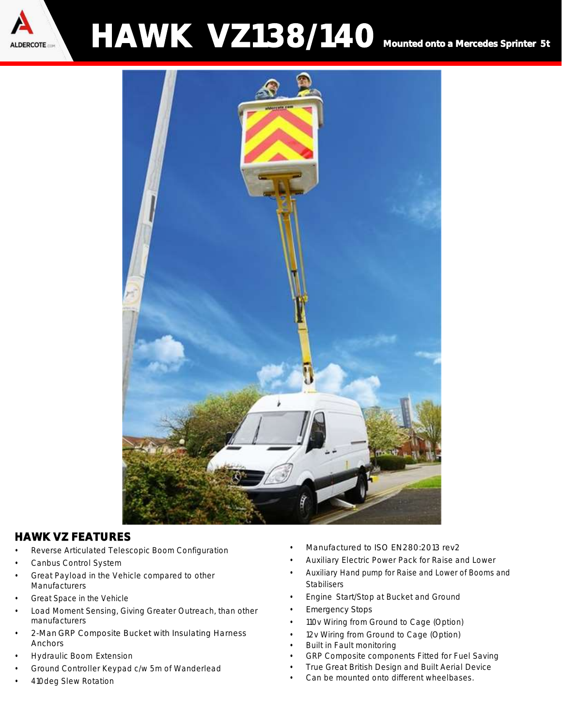

## **HAWK VZ138/140** Mounted onto a Mercedes Sprinter 5t



## HAWK VZ FEATURES

- Reverse Articulated Telescopic Boom Configuration
- Canbus Control System
- Great Payload in the Vehicle compared to other **Manufacturers**
- Great Space in the Vehicle
- Load Moment Sensing, Giving Greater Outreach, than other manufacturers
- 2-Man GRP Composite Bucket with Insulating Harness Anchors
- Hydraulic Boom Extension
- Ground Controller Keypad c/w 5m of Wanderlead
- 410deg Slew Rotation
- Manufactured to ISO EN280:2013 rev2
- Auxiliary Electric Power Pack for Raise and Lower
- Auxiliary Hand pump for Raise and Lower of Booms and **Stabilisers**
- Engine Start/Stop at Bucket and Ground
- Emergency Stops
- 110v Wiring from Ground to Cage (Option)
- 12v Wiring from Ground to Cage (Option)
- Built in Fault monitoring
- GRP Composite components Fitted for Fuel Saving
- True Great British Design and Built Aerial Device
- Can be mounted onto different wheelbases.